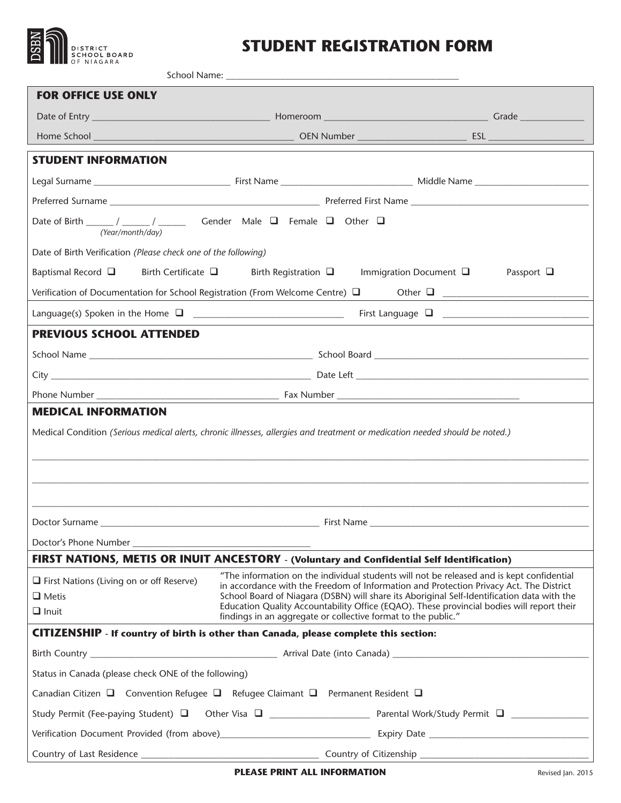

## **STUDENT REGISTRATION FORM**

| <b>FOR OFFICE USE ONLY</b>                                                                                                                                                                                                                                                                                                                                                                                                                                                                                                         |                                                          |                                                                                                                                                                                                                                |  |  |  |  |  |
|------------------------------------------------------------------------------------------------------------------------------------------------------------------------------------------------------------------------------------------------------------------------------------------------------------------------------------------------------------------------------------------------------------------------------------------------------------------------------------------------------------------------------------|----------------------------------------------------------|--------------------------------------------------------------------------------------------------------------------------------------------------------------------------------------------------------------------------------|--|--|--|--|--|
|                                                                                                                                                                                                                                                                                                                                                                                                                                                                                                                                    |                                                          |                                                                                                                                                                                                                                |  |  |  |  |  |
|                                                                                                                                                                                                                                                                                                                                                                                                                                                                                                                                    |                                                          |                                                                                                                                                                                                                                |  |  |  |  |  |
| <b>STUDENT INFORMATION</b>                                                                                                                                                                                                                                                                                                                                                                                                                                                                                                         |                                                          |                                                                                                                                                                                                                                |  |  |  |  |  |
|                                                                                                                                                                                                                                                                                                                                                                                                                                                                                                                                    |                                                          |                                                                                                                                                                                                                                |  |  |  |  |  |
|                                                                                                                                                                                                                                                                                                                                                                                                                                                                                                                                    |                                                          |                                                                                                                                                                                                                                |  |  |  |  |  |
| Date of Birth ______ / _____ / ______ Gender Male $\Box$ Female $\Box$ Other $\Box$<br>(Year/month/day)                                                                                                                                                                                                                                                                                                                                                                                                                            |                                                          |                                                                                                                                                                                                                                |  |  |  |  |  |
| Date of Birth Verification (Please check one of the following)                                                                                                                                                                                                                                                                                                                                                                                                                                                                     |                                                          |                                                                                                                                                                                                                                |  |  |  |  |  |
| Baptismal Record $\Box$                                                                                                                                                                                                                                                                                                                                                                                                                                                                                                            | Birth Certificate $\square$ Birth Registration $\square$ | Immigration Document $\Box$<br>Passport $\square$                                                                                                                                                                              |  |  |  |  |  |
|                                                                                                                                                                                                                                                                                                                                                                                                                                                                                                                                    |                                                          |                                                                                                                                                                                                                                |  |  |  |  |  |
| Language(s) Spoken in the Home $\Box$                                                                                                                                                                                                                                                                                                                                                                                                                                                                                              |                                                          | First Language a contract of the contract of the contract of the contract of the contract of the contract of the contract of the contract of the contract of the contract of the contract of the contract of the contract of t |  |  |  |  |  |
| <b>PREVIOUS SCHOOL ATTENDED</b>                                                                                                                                                                                                                                                                                                                                                                                                                                                                                                    |                                                          |                                                                                                                                                                                                                                |  |  |  |  |  |
|                                                                                                                                                                                                                                                                                                                                                                                                                                                                                                                                    |                                                          |                                                                                                                                                                                                                                |  |  |  |  |  |
|                                                                                                                                                                                                                                                                                                                                                                                                                                                                                                                                    |                                                          |                                                                                                                                                                                                                                |  |  |  |  |  |
|                                                                                                                                                                                                                                                                                                                                                                                                                                                                                                                                    |                                                          |                                                                                                                                                                                                                                |  |  |  |  |  |
| <b>MEDICAL INFORMATION</b>                                                                                                                                                                                                                                                                                                                                                                                                                                                                                                         |                                                          |                                                                                                                                                                                                                                |  |  |  |  |  |
| Medical Condition (Serious medical alerts, chronic illnesses, allergies and treatment or medication needed should be noted.)                                                                                                                                                                                                                                                                                                                                                                                                       |                                                          |                                                                                                                                                                                                                                |  |  |  |  |  |
|                                                                                                                                                                                                                                                                                                                                                                                                                                                                                                                                    |                                                          |                                                                                                                                                                                                                                |  |  |  |  |  |
|                                                                                                                                                                                                                                                                                                                                                                                                                                                                                                                                    |                                                          |                                                                                                                                                                                                                                |  |  |  |  |  |
|                                                                                                                                                                                                                                                                                                                                                                                                                                                                                                                                    |                                                          |                                                                                                                                                                                                                                |  |  |  |  |  |
| Doctor Surname                                                                                                                                                                                                                                                                                                                                                                                                                                                                                                                     | <b>First Name</b>                                        |                                                                                                                                                                                                                                |  |  |  |  |  |
|                                                                                                                                                                                                                                                                                                                                                                                                                                                                                                                                    |                                                          |                                                                                                                                                                                                                                |  |  |  |  |  |
| FIRST NATIONS, METIS OR INUIT ANCESTORY - (Voluntary and Confidential Self Identification)                                                                                                                                                                                                                                                                                                                                                                                                                                         |                                                          |                                                                                                                                                                                                                                |  |  |  |  |  |
| "The information on the individual students will not be released and is kept confidential<br>$\Box$ First Nations (Living on or off Reserve)<br>in accordance with the Freedom of Information and Protection Privacy Act. The District<br>School Board of Niagara (DSBN) will share its Aboriginal Self-Identification data with the<br>$\Box$ Metis<br>Education Quality Accountability Office (EQAO). These provincial bodies will report their<br>$\Box$ Inuit<br>findings in an aggregate or collective format to the public." |                                                          |                                                                                                                                                                                                                                |  |  |  |  |  |
| CITIZENSHIP - If country of birth is other than Canada, please complete this section:                                                                                                                                                                                                                                                                                                                                                                                                                                              |                                                          |                                                                                                                                                                                                                                |  |  |  |  |  |
|                                                                                                                                                                                                                                                                                                                                                                                                                                                                                                                                    |                                                          |                                                                                                                                                                                                                                |  |  |  |  |  |
| Status in Canada (please check ONE of the following)                                                                                                                                                                                                                                                                                                                                                                                                                                                                               |                                                          |                                                                                                                                                                                                                                |  |  |  |  |  |
| Canadian Citizen $\Box$ Convention Refugee $\Box$ Refugee Claimant $\Box$ Permanent Resident $\Box$                                                                                                                                                                                                                                                                                                                                                                                                                                |                                                          |                                                                                                                                                                                                                                |  |  |  |  |  |
| Study Permit (Fee-paying Student) a Other Visa a control contract Parental Work/Study Permit a control control of the Other Visa a control of Parental Work/Study Permit a control of the Other District Office of the Other D                                                                                                                                                                                                                                                                                                     |                                                          |                                                                                                                                                                                                                                |  |  |  |  |  |
|                                                                                                                                                                                                                                                                                                                                                                                                                                                                                                                                    |                                                          |                                                                                                                                                                                                                                |  |  |  |  |  |
| Country of Last Residence __________                                                                                                                                                                                                                                                                                                                                                                                                                                                                                               |                                                          | Country of Citizenship __________                                                                                                                                                                                              |  |  |  |  |  |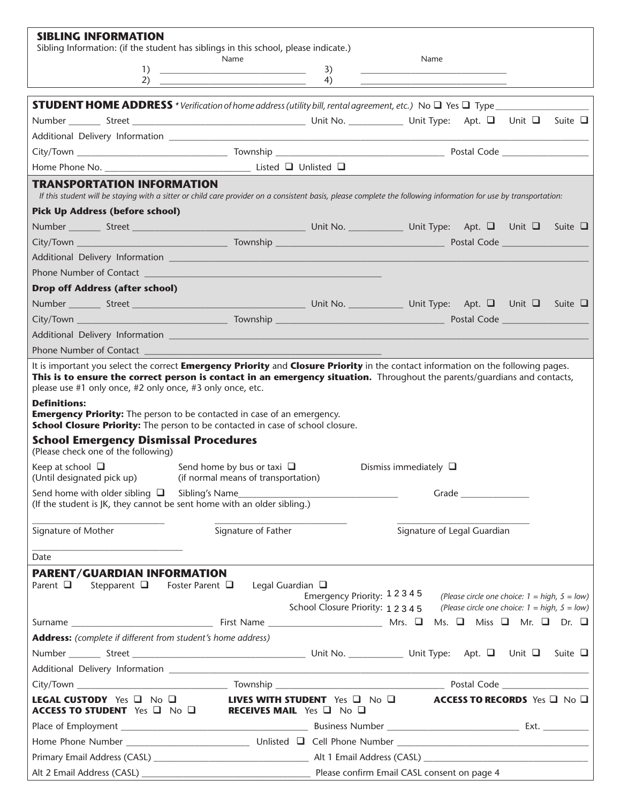| <b>SIBLING INFORMATION</b><br>Sibling Information: (if the student has siblings in this school, please indicate.)                                                                                     |                                                                                                                                           |          |                                                                                                                                                                             |  |
|-------------------------------------------------------------------------------------------------------------------------------------------------------------------------------------------------------|-------------------------------------------------------------------------------------------------------------------------------------------|----------|-----------------------------------------------------------------------------------------------------------------------------------------------------------------------------|--|
| 1)                                                                                                                                                                                                    | Name<br>the control of the control of the control of the control of the control of the control of<br>2) $\overline{\phantom{a}}$          | 3)<br>4) | Name                                                                                                                                                                        |  |
|                                                                                                                                                                                                       |                                                                                                                                           |          |                                                                                                                                                                             |  |
|                                                                                                                                                                                                       |                                                                                                                                           |          |                                                                                                                                                                             |  |
|                                                                                                                                                                                                       |                                                                                                                                           |          |                                                                                                                                                                             |  |
|                                                                                                                                                                                                       |                                                                                                                                           |          |                                                                                                                                                                             |  |
|                                                                                                                                                                                                       |                                                                                                                                           |          |                                                                                                                                                                             |  |
| <b>TRANSPORTATION INFORMATION</b><br>If this student will be staying with a sitter or child care provider on a consistent basis, please complete the following information for use by transportation: |                                                                                                                                           |          |                                                                                                                                                                             |  |
| <b>Pick Up Address (before school)</b>                                                                                                                                                                |                                                                                                                                           |          |                                                                                                                                                                             |  |
|                                                                                                                                                                                                       |                                                                                                                                           |          |                                                                                                                                                                             |  |
|                                                                                                                                                                                                       |                                                                                                                                           |          |                                                                                                                                                                             |  |
|                                                                                                                                                                                                       |                                                                                                                                           |          |                                                                                                                                                                             |  |
|                                                                                                                                                                                                       |                                                                                                                                           |          |                                                                                                                                                                             |  |
| <b>Drop off Address (after school)</b>                                                                                                                                                                |                                                                                                                                           |          |                                                                                                                                                                             |  |
|                                                                                                                                                                                                       |                                                                                                                                           |          |                                                                                                                                                                             |  |
|                                                                                                                                                                                                       |                                                                                                                                           |          |                                                                                                                                                                             |  |
|                                                                                                                                                                                                       |                                                                                                                                           |          |                                                                                                                                                                             |  |
|                                                                                                                                                                                                       |                                                                                                                                           |          |                                                                                                                                                                             |  |
| <b>School Emergency Dismissal Procedures</b><br>(Please check one of the following)<br>Keep at school $\Box$                                                                                          | Send home by bus or taxi $\Box$                                                                                                           |          | Dismiss immediately $\square$                                                                                                                                               |  |
| (Until designated pick up) (if normal means of transportation)                                                                                                                                        |                                                                                                                                           |          |                                                                                                                                                                             |  |
| Send home with older sibling $\square$ Sibling's Name<br>(If the student is JK, they cannot be sent home with an older sibling.)                                                                      |                                                                                                                                           |          | Grade ________________                                                                                                                                                      |  |
| Signature of Mother                                                                                                                                                                                   | Signature of Father                                                                                                                       |          | Signature of Legal Guardian                                                                                                                                                 |  |
| Date                                                                                                                                                                                                  |                                                                                                                                           |          |                                                                                                                                                                             |  |
| <b>PARENT/GUARDIAN INFORMATION</b><br>Parent $\Box$                                                                                                                                                   | Stepparent □ Foster Parent □ Legal Guardian □                                                                                             |          | Emergency Priority: $12345$ (Please circle one choice: $1 = high$ , $5 = low$ )<br>School Closure Priority: $1 2 3 4 5$ (Please circle one choice: $1 = high$ , $5 = low$ ) |  |
|                                                                                                                                                                                                       |                                                                                                                                           |          |                                                                                                                                                                             |  |
| Address: (complete if different from student's home address)                                                                                                                                          |                                                                                                                                           |          |                                                                                                                                                                             |  |
|                                                                                                                                                                                                       |                                                                                                                                           |          |                                                                                                                                                                             |  |
|                                                                                                                                                                                                       |                                                                                                                                           |          |                                                                                                                                                                             |  |
|                                                                                                                                                                                                       |                                                                                                                                           |          |                                                                                                                                                                             |  |
| LEGAL CUSTODY Yes <b>Q</b> No Q<br>ACCESS TO STUDENT Yes <b>Q</b> No Q                                                                                                                                | <b>LIVES WITH STUDENT</b> Yes $\Box$ No $\Box$ <b>ACCESS TO RECORDS</b> Yes $\Box$ No $\Box$<br><b>RECEIVES MAIL</b> Yes $\Box$ No $\Box$ |          |                                                                                                                                                                             |  |
|                                                                                                                                                                                                       |                                                                                                                                           |          |                                                                                                                                                                             |  |
|                                                                                                                                                                                                       |                                                                                                                                           |          |                                                                                                                                                                             |  |
|                                                                                                                                                                                                       |                                                                                                                                           |          |                                                                                                                                                                             |  |
|                                                                                                                                                                                                       |                                                                                                                                           |          |                                                                                                                                                                             |  |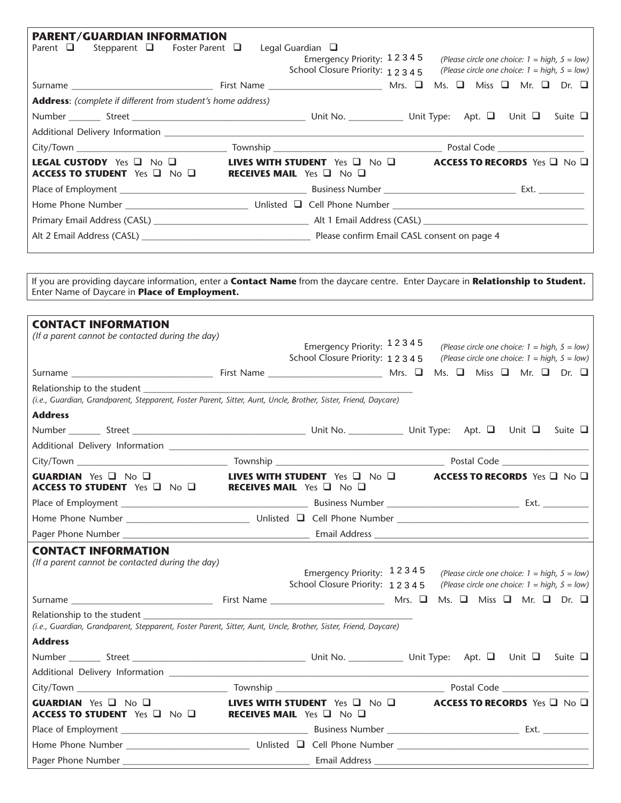| <b>PARENT/GUARDIAN INFORMATION</b><br>Parent $\Box$ Stepparent $\Box$ Foster Parent $\Box$ Legal Guardian $\Box$ |                                           | Emergency Priority: 12345<br>School Closure Priority: 12345 | (Please circle one choice: $1 = high$ , $5 = low$ )<br>(Please circle one choice: $1 = high$ , $5 = low$ ) |  |  |
|------------------------------------------------------------------------------------------------------------------|-------------------------------------------|-------------------------------------------------------------|------------------------------------------------------------------------------------------------------------|--|--|
|                                                                                                                  |                                           |                                                             | Ms. $\Box$ Miss $\Box$ Mr. $\Box$ Dr. $\Box$                                                               |  |  |
| <b>Address:</b> (complete if different from student's home address)                                              |                                           |                                                             |                                                                                                            |  |  |
|                                                                                                                  |                                           |                                                             |                                                                                                            |  |  |
|                                                                                                                  |                                           |                                                             |                                                                                                            |  |  |
|                                                                                                                  |                                           |                                                             |                                                                                                            |  |  |
| <b>LEGAL CUSTODY</b> Yes $\Box$ No $\Box$<br>ACCESS TO STUDENT Yes I No II                                       | <b>RECEIVES MAIL</b> Yes $\Box$ No $\Box$ | <b>LIVES WITH STUDENT</b> Yes $\Box$ No $\Box$              | <b>ACCESS TO RECORDS</b> Yes $\Box$ No $\Box$                                                              |  |  |
|                                                                                                                  |                                           |                                                             |                                                                                                            |  |  |
|                                                                                                                  |                                           |                                                             |                                                                                                            |  |  |
|                                                                                                                  |                                           |                                                             |                                                                                                            |  |  |
|                                                                                                                  |                                           |                                                             |                                                                                                            |  |  |

If you are providing daycare information, enter a **Contact Name** from the daycare centre. Enter Daycare in **Relationship to Student.** Enter Name of Daycare in **Place of Employment.**

| <b>CONTACT INFORMATION</b>                                                                                                                                                                                                       |                                                                                                                          |  |                                                                                                            |  |
|----------------------------------------------------------------------------------------------------------------------------------------------------------------------------------------------------------------------------------|--------------------------------------------------------------------------------------------------------------------------|--|------------------------------------------------------------------------------------------------------------|--|
| (If a parent cannot be contacted during the day)                                                                                                                                                                                 | Emergency Priority: 12345                                                                                                |  | (Please circle one choice: $1 = high$ , $5 = low$ )                                                        |  |
|                                                                                                                                                                                                                                  | School Closure Priority: 12345                                                                                           |  | (Please circle one choice: $1 = high$ , $5 = low$ )                                                        |  |
|                                                                                                                                                                                                                                  |                                                                                                                          |  |                                                                                                            |  |
| Relationship to the student Manual Assembly and the student of the student of the students of the students of<br>(i.e., Guardian, Grandparent, Stepparent, Foster Parent, Sitter, Aunt, Uncle, Brother, Sister, Friend, Daycare) |                                                                                                                          |  |                                                                                                            |  |
| <b>Address</b>                                                                                                                                                                                                                   |                                                                                                                          |  |                                                                                                            |  |
|                                                                                                                                                                                                                                  |                                                                                                                          |  |                                                                                                            |  |
|                                                                                                                                                                                                                                  |                                                                                                                          |  |                                                                                                            |  |
|                                                                                                                                                                                                                                  |                                                                                                                          |  |                                                                                                            |  |
| <b>GUARDIAN</b> Yes $\Box$ No $\Box$<br>ACCESS TO STUDENT Yes <b>Q</b> No <b>Q</b>                                                                                                                                               | <b>LIVES WITH STUDENT</b> Yes $\Box$ No $\Box$ <b>ACCESS TO RECORDS</b> Yes $\Box$ No $\Box$<br>RECEIVES MAIL Yes and No |  |                                                                                                            |  |
|                                                                                                                                                                                                                                  |                                                                                                                          |  |                                                                                                            |  |
|                                                                                                                                                                                                                                  |                                                                                                                          |  |                                                                                                            |  |
|                                                                                                                                                                                                                                  |                                                                                                                          |  |                                                                                                            |  |
| <b>CONTACT INFORMATION</b><br>(If a parent cannot be contacted during the day)                                                                                                                                                   | Emergency Priority: 12345<br>School Closure Priority: 12345                                                              |  | (Please circle one choice: $1 = high$ , $5 = low$ )<br>(Please circle one choice: $1 = high$ , $5 = low$ ) |  |
|                                                                                                                                                                                                                                  |                                                                                                                          |  | Ms. $\Box$ Miss $\Box$ Mr. $\Box$ Dr. $\Box$                                                               |  |
| Relationship to the student example of the student<br>(i.e., Guardian, Grandparent, Stepparent, Foster Parent, Sitter, Aunt, Uncle, Brother, Sister, Friend, Daycare)                                                            |                                                                                                                          |  |                                                                                                            |  |
| <b>Address</b>                                                                                                                                                                                                                   |                                                                                                                          |  |                                                                                                            |  |
|                                                                                                                                                                                                                                  |                                                                                                                          |  |                                                                                                            |  |
|                                                                                                                                                                                                                                  |                                                                                                                          |  |                                                                                                            |  |
|                                                                                                                                                                                                                                  |                                                                                                                          |  |                                                                                                            |  |
| <b>GUARDIAN</b> Yes $\Box$ No $\Box$<br>ACCESS TO STUDENT Yes □ No □ RECEIVES MAIL Yes □ No □                                                                                                                                    | <b>LIVES WITH STUDENT</b> Yes $\Box$ No $\Box$                                                                           |  | <b>ACCESS TO RECORDS</b> Yes $\Box$ No $\Box$                                                              |  |
|                                                                                                                                                                                                                                  |                                                                                                                          |  |                                                                                                            |  |
| Home Phone Number ___________________________________Unlisted D Cell Phone Number __________________________________                                                                                                             |                                                                                                                          |  |                                                                                                            |  |
|                                                                                                                                                                                                                                  |                                                                                                                          |  |                                                                                                            |  |